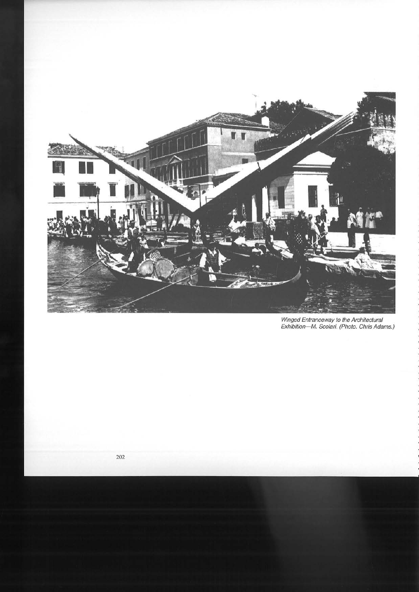

Winged Entranceway to the Architectural Exhibition-M. Scolari. (Photo. Chris Adams.)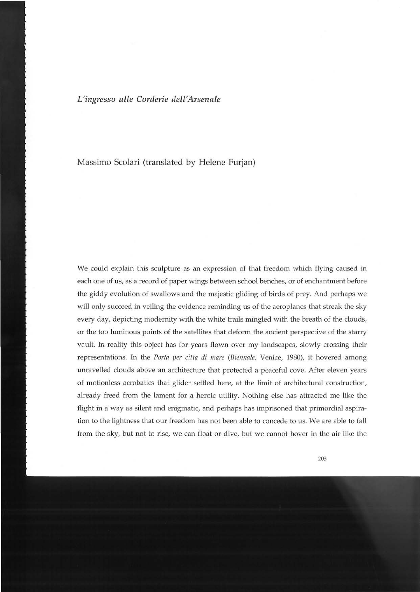*L'ingresso alle Corderie dell'Arsenale* 

Massimo Scolari (translated by Helene Furjan)

We could explain this sculpture as an expression of that freedom which flying caused in each one of us, as a record of paper wings between school benches, or of enchantment before the giddy evolution of swallows and the majestic gliding of birds of prey. And perhaps we will only succeed in veiling the evidence reminding us of the aeroplanes that streak the sky every day, depicting modernity with the white trails mingled with the breath of the clouds, or the too luminous points of the satellites that deform the ancient perspective of the starry vault. In reality this object has for years flown over my landscapes, slowly crossing their representations. In the *Porta per citta di mare (Biennale,* Venice, 1980), it hovered among unravelled clouds above an architecture that protected a peaceful cove. After eleven years of motionless acrobatics that glider settled here, at the limit of architectural construction, already freed from the lament for a heroic utility. Nothing else has attracted me like the flight in a way as silent and enigmatic, and perhaps has imprisoned that primordial aspiration to the lightness that our freedom has not been able to concede to us. We are able to fall from the sky, but not to rise, we can float or dive, but we cannot hover in the air like the

203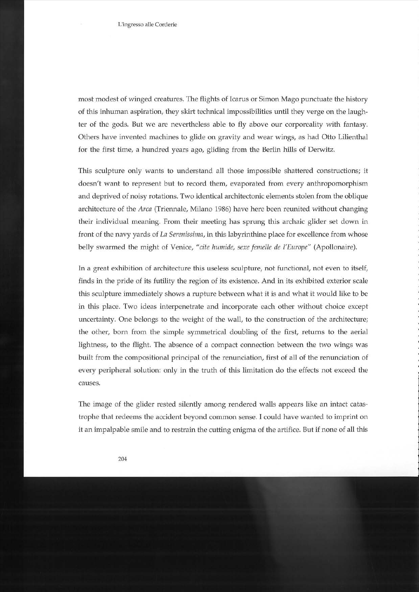L'ingresso alle Corderie

most modest of winged creatures. The flights of Icarus or Simon Mago punctuate the history of this inhuman aspiration, they skirt technical impossibilities until they verge on the laughter of the gods. But we are nevertheless able to fly above our corporeality with fantasy. Others have invented machines to glide on gravity and wear wings, as had Otto Lilienthal for the first time, a hundred years ago, gliding from the Berlin hills of Derwitz.

This sculpture only wants to understand all those impossible shattered constructions; it doesn't want to represent but to record them, evaporated from every anthropomorphism and deprived of noisy rotations. Two identical architectonic elements stolen from the oblique architecture of the *Arca* (Triennale, Milano 1986) have here been reunited without changing their individual meaning. From their meeting has sprung this archaic glider set down in front of the navy yards of *La Serenissima,* in this labyrinthine place for excellence from whose belly swarmed the might of Venice, *"cite humide, sexe femelle de l'Europe"* (Apollonaire).

In a great exhibition of architecture this useless sculpture, not functional, not even to itself, finds in the pride of its futility the region of its existence. And in its exhibited exterior scale this sculpture immediately shows a rupture between what it is and what it would like to be in this place. Two ideas interpenetrate and incorporate each other without choice except uncertainty. One belongs to the weight of the wall, to the construction of the architecture; the other, born from the simple symmetrical doubling of the first, returns to the aerial lightness, to the flight. The absence of a compact connection between the two wings was built from the compositional principal of the renunciation, first of all of the renunciation of every peripheral solution: only in the truth of this limitation do the effects not exceed the causes.

The image of the glider rested silently among rendered walls appears like an intact catastrophe that redeems the accident beyond common sense. I could have wanted to imprint on it an impalpable smile and to restrain the cutting enigma of the artifice. But if none of all this

204